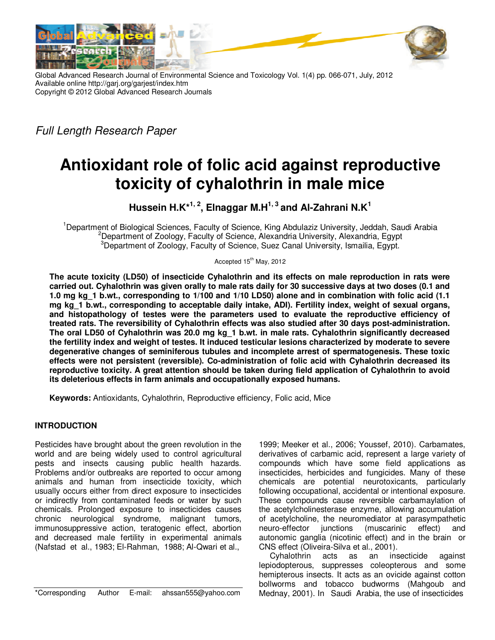



Global Advanced Research Journal of Environmental Science and Toxicology Vol. 1(4) pp. 066-071, July, 2012 Available online http://garj.org/garjest/index.htm Copyright © 2012 Global Advanced Research Journals

Full Length Research Paper

# **Antioxidant role of folic acid against reproductive toxicity of cyhalothrin in male mice**

**Hussein H.K\*1, 2, Elnaggar M.H1, 3 and Al-Zahrani N.K<sup>1</sup>**

<sup>1</sup>Department of Biological Sciences, Faculty of Science, King Abdulaziz University, Jeddah, Saudi Arabia <sup>2</sup>Department of Zoology, Faculty of Science, Alexandria University, Alexandria, Egypt <sup>3</sup>Department of Zoology, Faculty of Science, Suez Canal University, Ismailia, Egypt.

Accepted 15<sup>th</sup> May, 2012

**The acute toxicity (LD50) of insecticide Cyhalothrin and its effects on male reproduction in rats were carried out. Cyhalothrin was given orally to male rats daily for 30 successive days at two doses (0.1 and 1.0 mg kg\_1 b.wt., corresponding to 1/100 and 1/10 LD50) alone and in combination with folic acid (1.1 mg kg\_1 b.wt., corresponding to acceptable daily intake, ADI). Fertility index, weight of sexual organs, and histopathology of testes were the parameters used to evaluate the reproductive efficiency of treated rats. The reversibility of Cyhalothrin effects was also studied after 30 days post-administration. The oral LD50 of Cyhalothrin was 20.0 mg kg\_1 b.wt. in male rats. Cyhalothrin significantly decreased the fertility index and weight of testes. It induced testicular lesions characterized by moderate to severe degenerative changes of seminiferous tubules and incomplete arrest of spermatogenesis. These toxic effects were not persistent (reversible). Co-administration of folic acid with Cyhalothrin decreased its reproductive toxicity. A great attention should be taken during field application of Cyhalothrin to avoid its deleterious effects in farm animals and occupationally exposed humans.** 

**Keywords:** Antioxidants, Cyhalothrin, Reproductive efficiency, Folic acid, Mice

# **INTRODUCTION**

Pesticides have brought about the green revolution in the world and are being widely used to control agricultural pests and insects causing public health hazards. Problems and/or outbreaks are reported to occur among animals and human from insecticide toxicity, which usually occurs either from direct exposure to insecticides or indirectly from contaminated feeds or water by such chemicals. Prolonged exposure to insecticides causes chronic neurological syndrome, malignant tumors, immunosuppressive action, teratogenic effect, abortion and decreased male fertility in experimental animals (Nafstad et al., 1983; El-Rahman, 1988; Al-Qwari et al.,

\*Corresponding Author E-mail: ahssan555@yahoo.com

1999; Meeker et al., 2006; Youssef, 2010). Carbamates, derivatives of carbamic acid, represent a large variety of compounds which have some field applications as insecticides, herbicides and fungicides. Many of these chemicals are potential neurotoxicants, particularly following occupational, accidental or intentional exposure. These compounds cause reversible carbamaylation of the acetylcholinesterase enzyme, allowing accumulation of acetylcholine, the neuromediator at parasympathetic neuro-effector junctions (muscarinic effect) and autonomic ganglia (nicotinic effect) and in the brain or CNS effect (Oliveira-Silva et al., 2001).

Cyhalothrin acts as an insecticide against lepiodopterous, suppresses coleopterous and some hemipterous insects. It acts as an ovicide against cotton bollworms and tobacco budworms (Mahgoub and Mednay, 2001). In Saudi Arabia, the use of insecticides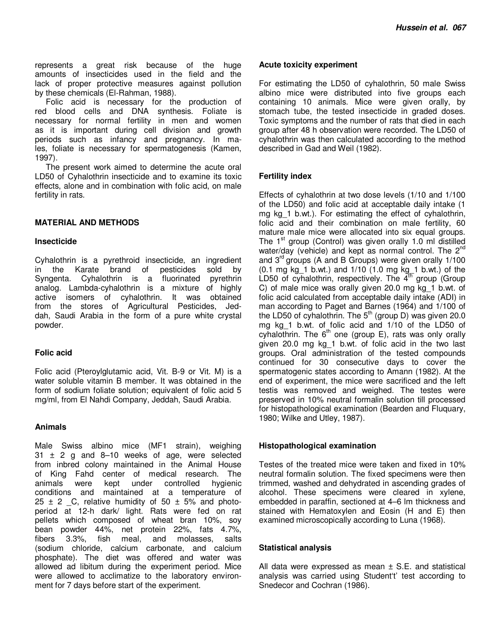represents a great risk because of the huge amounts of insecticides used in the field and the lack of proper protective measures against pollution by these chemicals (El-Rahman, 1988).

Folic acid is necessary for the production of red blood cells and DNA synthesis. Foliate is necessary for normal fertility in men and women as it is important during cell division and growth periods such as infancy and pregnancy. In males, foliate is necessary for spermatogenesis (Kamen, 1997).

The present work aimed to determine the acute oral LD50 of Cyhalothrin insecticide and to examine its toxic effects, alone and in combination with folic acid, on male fertility in rats.

# **MATERIAL AND METHODS**

#### **Insecticide**

Cyhalothrin is a pyrethroid insecticide, an ingredient in the Karate brand of pesticides sold by Syngenta. Cyhalothrin is a fluorinated pyrethrin analog. Lambda-cyhalothrin is a mixture of highly active isomers of cyhalothrin. It was obtained from the stores of Agricultural Pesticides, Jeddah, Saudi Arabia in the form of a pure white crystal powder.

# **Folic acid**

Folic acid (Pteroylglutamic acid, Vit. B-9 or Vit. M) is a water soluble vitamin B member. It was obtained in the form of sodium foliate solution; equivalent of folic acid 5 mg/ml, from El Nahdi Company, Jeddah, Saudi Arabia.

# **Animals**

Male Swiss albino mice (MF1 strain), weighing  $31 \pm 2$  g and 8-10 weeks of age, were selected from inbred colony maintained in the Animal House of King Fahd center of medical research. The animals were kept under controlled hygienic conditions and maintained at a temperature of 25  $\pm$  2  $\degree$ C, relative humidity of 50  $\pm$  5% and photoperiod at 12-h dark/ light. Rats were fed on rat pellets which composed of wheat bran 10%, soy bean powder 44%, net protein 22%, fats 4.7%, fibers 3.3%, fish meal, and molasses, salts (sodium chloride, calcium carbonate, and calcium phosphate). The diet was offered and water was allowed ad libitum during the experiment period. Mice were allowed to acclimatize to the laboratory environment for 7 days before start of the experiment.

# **Acute toxicity experiment**

For estimating the LD50 of cyhalothrin, 50 male Swiss albino mice were distributed into five groups each containing 10 animals. Mice were given orally, by stomach tube, the tested insecticide in graded doses. Toxic symptoms and the number of rats that died in each group after 48 h observation were recorded. The LD50 of cyhalothrin was then calculated according to the method described in Gad and Weil (1982).

# **Fertility index**

Effects of cyhalothrin at two dose levels (1/10 and 1/100 of the LD50) and folic acid at acceptable daily intake (1 mg kg\_1 b.wt.). For estimating the effect of cyhalothrin, folic acid and their combination on male fertility, 60 mature male mice were allocated into six equal groups. The  $1<sup>st</sup>$  group (Control) was given orally 1.0 ml distilled water/day (vehicle) and kept as normal control. The 2<sup>nd</sup> and  $3<sup>rd</sup>$  groups (A and B Groups) were given orally  $1/100$ (0.1 mg kg\_1 b.wt.) and 1/10 (1.0 mg kg\_1 b.wt.) of the LD50 of cyhalothrin, respectively. The  $4^{th}$  group (Group C) of male mice was orally given 20.0 mg kg\_1 b.wt. of folic acid calculated from acceptable daily intake (ADI) in man according to Paget and Barnes (1964) and 1/100 of the LD50 of cyhalothrin. The  $5<sup>th</sup>$  (group D) was given 20.0 mg kg\_1 b.wt. of folic acid and 1/10 of the LD50 of cyhalothrin. The  $6<sup>th</sup>$  one (group E), rats was only orally given 20.0 mg kg\_1 b.wt. of folic acid in the two last groups. Oral administration of the tested compounds continued for 30 consecutive days to cover the spermatogenic states according to Amann (1982). At the end of experiment, the mice were sacrificed and the left testis was removed and weighed. The testes were preserved in 10% neutral formalin solution till processed for histopathological examination (Bearden and Fluquary, 1980; Wilke and Utley, 1987).

# **Histopathological examination**

Testes of the treated mice were taken and fixed in 10% neutral formalin solution. The fixed specimens were then trimmed, washed and dehydrated in ascending grades of alcohol. These specimens were cleared in xylene, embedded in paraffin, sectioned at 4–6 lm thickness and stained with Hematoxylen and Eosin (H and E) then examined microscopically according to Luna (1968).

# **Statistical analysis**

All data were expressed as mean  $\pm$  S.E. and statistical analysis was carried using Student't' test according to Snedecor and Cochran (1986).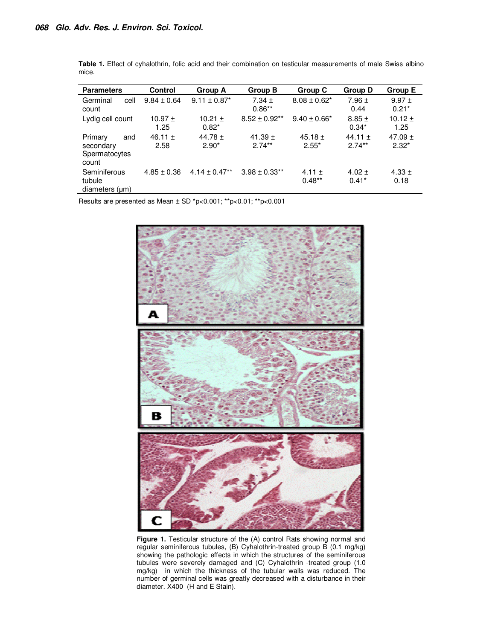| <b>Parameters</b>                                     | <b>Control</b>      | Group A                      | Group B                  | Group C                | <b>Group D</b>          | Group E                |
|-------------------------------------------------------|---------------------|------------------------------|--------------------------|------------------------|-------------------------|------------------------|
| cell<br>Germinal<br>count                             | $9.84 \pm 0.64$     | $9.11 \pm 0.87$ <sup>*</sup> | $7.34 \pm$<br>$0.86**$   | $8.08 \pm 0.62^*$      | $7.96 \pm$<br>0.44      | $9.97 +$<br>$0.21*$    |
| Lydig cell count                                      | $10.97 \pm$<br>1.25 | 10.21 $\pm$<br>$0.82*$       | $8.52 \pm 0.92**$        | $9.40 \pm 0.66^*$      | $8.85 \pm$<br>$0.34*$   | $10.12 \pm$<br>1.25    |
| Primary<br>and<br>secondary<br>Spermatocytes<br>count | 46.11 $\pm$<br>2.58 | 44.78 $\pm$<br>$2.90*$       | 41.39 $\pm$<br>$2.74***$ | 45.18 $\pm$<br>$2.55*$ | 44.11 $\pm$<br>$2.74**$ | 47.09 $\pm$<br>$2.32*$ |
| Seminiferous<br>tubule<br>diameters (um)              | $4.85 \pm 0.36$     | $4.14 \pm 0.47**$            | $3.98 \pm 0.33**$        | 4.11 $\pm$<br>$0.48**$ | $4.02 \pm$<br>$0.41*$   | $4.33 \pm$<br>0.18     |

**Table 1.** Effect of cyhalothrin, folic acid and their combination on testicular measurements of male Swiss albino mice.

Results are presented as Mean ± SD \*p<0.001; \*\*p<0.01; \*\*p<0.001



Figure 1. Testicular structure of the (A) control Rats showing normal and regular seminiferous tubules, (B) Cyhalothrin-treated group B (0.1 mg/kg) showing the pathologic effects in which the structures of the seminiferous tubules were severely damaged and (C) Cyhalothrin -treated group (1.0 mg/kg) in which the thickness of the tubular walls was reduced. The number of germinal cells was greatly decreased with a disturbance in their diameter. X400 (H and E Stain).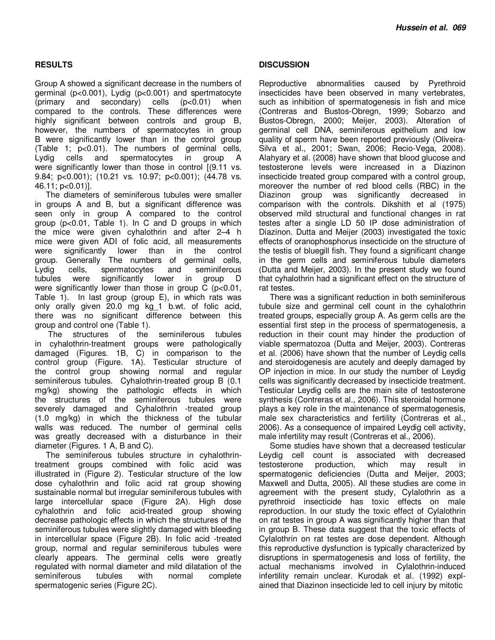# **RESULTS**

Group A showed a significant decrease in the numbers of germinal (p<0.001), Lydig (p<0.001) and spertmatocyte (primary and secondary) cells (p<0.01) when compared to the controls. These differences were highly significant between controls and group B, however, the numbers of spermatocytes in group B were significantly lower than in the control group (Table 1; p<0.01). The numbers of germinal cells, Lydig cells and spermatocytes in group A were significantly lower than those in control [(9.11 vs. 9.84; p<0.001); (10.21 vs. 10.97; p<0.001); (44.78 vs. 46.11; p<0.01)].

The diameters of seminiferous tubules were smaller in groups A and B, but a significant difference was seen only in group A compared to the control group (p<0.01, Table 1). In C and D groups in which the mice were given cyhalothrin and after 2–4 h mice were given ADI of folic acid, all measurements were significantly lower than in the control group. Generally The numbers of germinal cells, Lydig cells, spermatocytes and seminiferous tubules were significantly lower in group D were significantly lower than those in group C (p<0.01, Table 1). In last group (group E), in which rats was only orally given 20.0 mg kg\_1 b.wt. of folic acid, there was no significant difference between this group and control one (Table 1).

 The structures of the seminiferous tubules in cyhalothrin-treatment groups were pathologically damaged (Figures. 1B, C) in comparison to the control group (Figure. 1A). Testicular structure of the control group showing normal and regular seminiferous tubules. Cyhalothrin-treated group B (0.1 mg/kg) showing the pathologic effects in which the structures of the seminiferous tubules were severely damaged and Cyhalothrin -treated group (1.0 mg/kg) in which the thickness of the tubular walls was reduced. The number of germinal cells was greatly decreased with a disturbance in their diameter (Figures. 1 A, B and C).

The seminiferous tubules structure in cyhalothrintreatment groups combined with folic acid was illustrated in (Figure 2). Testicular structure of the low dose cyhalothrin and folic acid rat group showing sustainable normal but irregular seminiferous tubules with large intercellular space (Figure 2A). High dose cyhalothrin and folic acid-treated group showing decrease pathologic effects in which the structures of the seminiferous tubules were slightly damaged with bleeding in intercellular space (Figure 2B). In folic acid -treated group, normal and regular seminiferous tubules were clearly appears. The germinal cells were greatly regulated with normal diameter and mild dilatation of the seminiferous tubules with normal complete spermatogenic series (Figure 2C).

# **DISCUSSION**

Reproductive abnormalities caused by Pyrethroid insecticides have been observed in many vertebrates, such as inhibition of spermatogenesis in fish and mice (Contreras and Bustos-Obregn, 1999; Sobarzo and Bustos-Obregn, 2000; Meijer, 2003). Alteration of germinal cell DNA, seminiferous epithelium and low quality of sperm have been reported previously (Oliveira-Silva et al., 2001; Swan, 2006; Recio-Vega, 2008). Alahyary et al. (2008) have shown that blood glucose and testosterone levels were increased in a Diazinon insecticide treated group compared with a control group, moreover the number of red blood cells (RBC) in the Diazinon group was significantly decreased in comparison with the controls. Dikshith et al (1975) observed mild structural and functional changes in rat testes after a single LD 50 IP dose administration of Diazinon. Dutta and Meijer (2003) investigated the toxic effects of oranophosphorus insecticide on the structure of the testis of bluegill fish. They found a significant change in the germ cells and seminiferous tubule diameters (Dutta and Meijer, 2003). In the present study we found that cyhalothrin had a significant effect on the structure of rat testes.

There was a significant reduction in both seminiferous tubule size and germinal cell count in the cyhalothrin treated groups, especially group A. As germ cells are the essential first step in the process of spermatogenesis, a reduction in their count may hinder the production of viable spermatozoa (Dutta and Meijer, 2003). Contreras et al. (2006) have shown that the number of Leydig cells and steroidogenesis are acutely and deeply damaged by OP injection in mice. In our study the number of Leydig cells was significantly decreased by insecticide treatment. Testicular Leydig cells are the main site of testosterone synthesis (Contreras et al., 2006). This steroidal hormone plays a key role in the maintenance of spermatogenesis, male sex characteristics and fertility (Contreras et al., 2006). As a consequence of impaired Leydig cell activity, male infertility may result (Contreras et al., 2006).

Some studies have shown that a decreased testicular Leydig cell count is associated with decreased testosterone production, which may result in spermatogenic deficiencies (Dutta and Meijer, 2003; Maxwell and Dutta, 2005). All these studies are come in agreement with the present study, Cylalothrin as a pyrethroid insecticide has toxic effects on male reproduction. In our study the toxic effect of Cylalothrin on rat testes in group A was significantly higher than that in group B. These data suggest that the toxic effects of Cylalothrin on rat testes are dose dependent. Although this reproductive dysfunction is typically characterized by disruptions in spermatogenesis and loss of fertility, the actual mechanisms involved in Cylalothrin-induced infertility remain unclear. Kurodak et al. (1992) explained that Diazinon insecticide led to cell injury by mitotic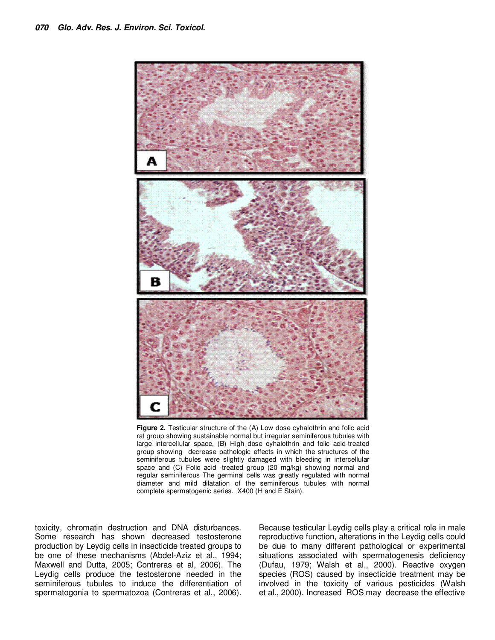

Figure 2. Testicular structure of the (A) Low dose cyhalothrin and folic acid rat group showing sustainable normal but irregular seminiferous tubules with large intercellular space, (B) High dose cyhalothrin and folic acid-treated group showing decrease pathologic effects in which the structures of the seminiferous tubules were slightly damaged with bleeding in intercellular space and (C) Folic acid -treated group (20 mg/kg) showing normal and regular seminiferous The germinal cells was greatly regulated with normal diameter and mild dilatation of the seminiferous tubules with normal complete spermatogenic series. X400 (H and E Stain).

toxicity, chromatin destruction and DNA disturbances. Some research has shown decreased testosterone production by Leydig cells in insecticide treated groups to be one of these mechanisms (Abdel-Aziz et al., 1994; Maxwell and Dutta, 2005; Contreras et al, 2006). The Leydig cells produce the testosterone needed in the seminiferous tubules to induce the differentiation of spermatogonia to spermatozoa (Contreras et al., 2006).

Because testicular Leydig cells play a critical role in male reproductive function, alterations in the Leydig cells could be due to many different pathological or experimental situations associated with spermatogenesis deficiency (Dufau, 1979; Walsh et al., 2000). Reactive oxygen species (ROS) caused by insecticide treatment may be involved in the toxicity of various pesticides (Walsh et al., 2000). Increased ROS may decrease the effective